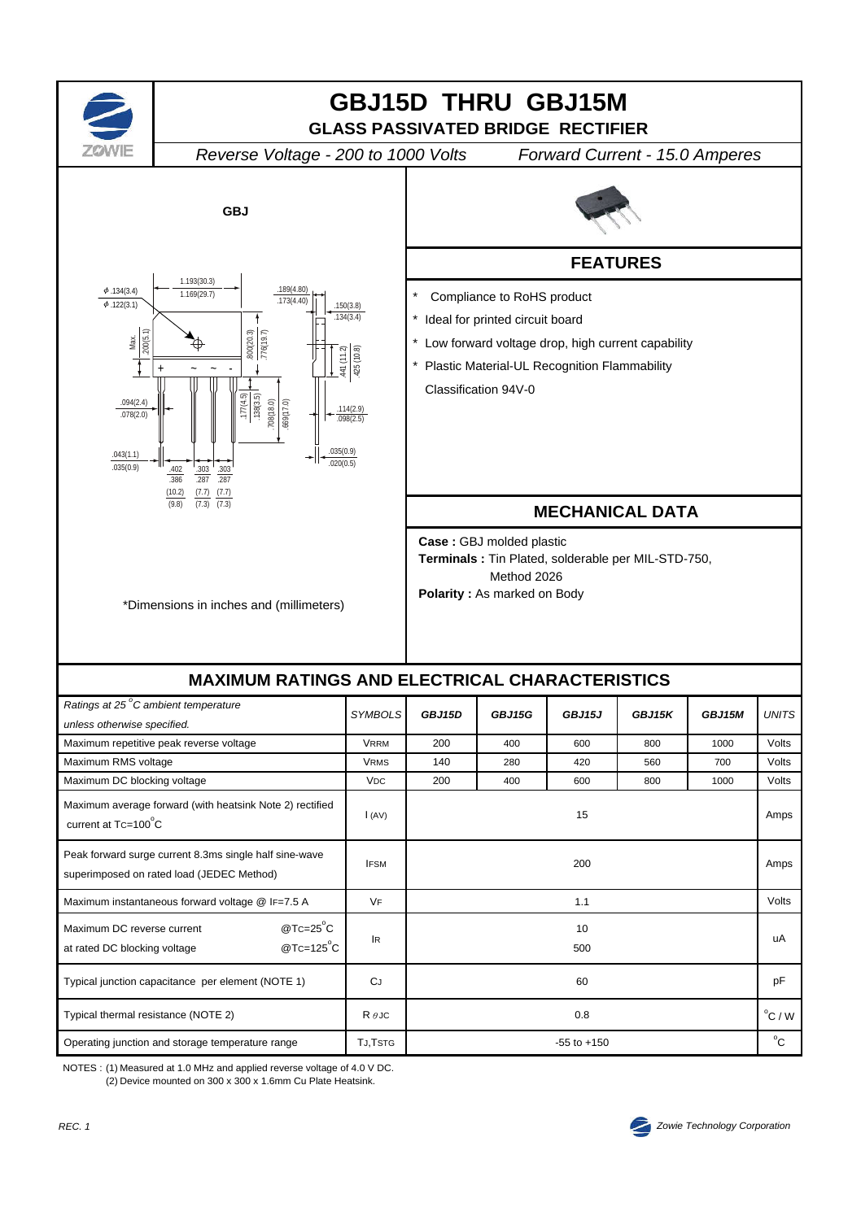

NOTES : (1) Measured at 1.0 MHz and applied reverse voltage of 4.0 V DC. (2) Device mounted on 300 x 300 x 1.6mm Cu Plate Heatsink.